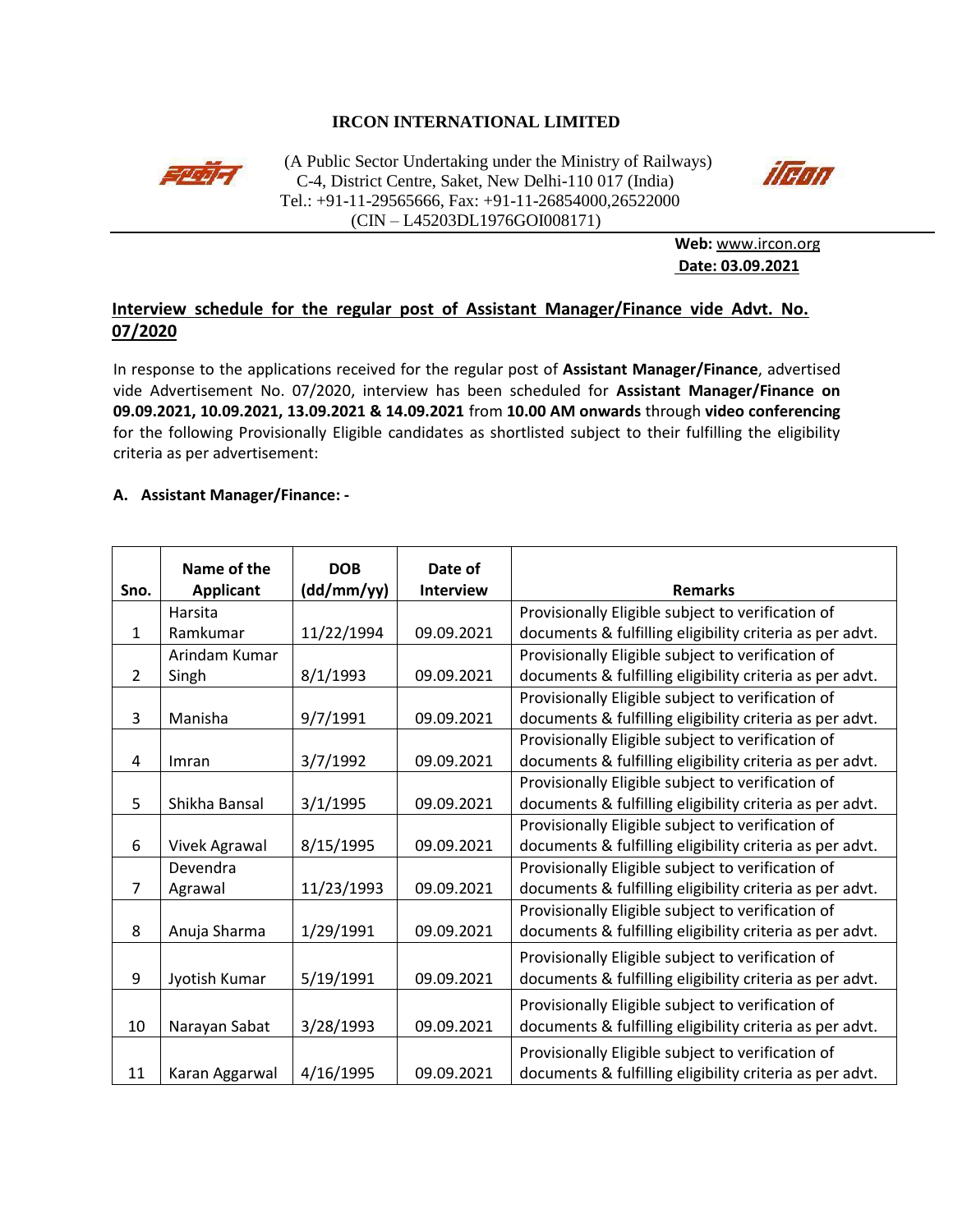## **IRCON INTERNATIONAL LIMITED**



(A Public Sector Undertaking under the Ministry of Railways)<br>  $C_A$  District Centre, Saket, New Delhi, 110.017 (India) C-4, District Centre, Saket, New Delhi-110 017 (India) Tel.: +91-11-29565666, Fax: +91-11-26854000,26522000 (CIN – L45203DL1976GOI008171)



**Web:** [www.ircon.org](http://www.ircon.org/) **Date: 03.09.2021**

# **Interview schedule for the regular post of Assistant Manager/Finance vide Advt. No. 07/2020**

In response to the applications received for the regular post of **Assistant Manager/Finance**, advertised vide Advertisement No. 07/2020, interview has been scheduled for **Assistant Manager/Finance on 09.09.2021, 10.09.2021, 13.09.2021 & 14.09.2021** from **10.00 AM onwards** through **video conferencing** for the following Provisionally Eligible candidates as shortlisted subject to their fulfilling the eligibility criteria as per advertisement:

### **A. Assistant Manager/Finance: -**

|                | Name of the          | <b>DOB</b> | Date of<br><b>Interview</b> | <b>Remarks</b>                                           |
|----------------|----------------------|------------|-----------------------------|----------------------------------------------------------|
| Sno.           | <b>Applicant</b>     | (dd/mm/yy) |                             |                                                          |
|                | Harsita              |            |                             | Provisionally Eligible subject to verification of        |
| $\mathbf{1}$   | Ramkumar             | 11/22/1994 | 09.09.2021                  | documents & fulfilling eligibility criteria as per advt. |
|                | Arindam Kumar        |            |                             | Provisionally Eligible subject to verification of        |
| $\overline{2}$ | Singh                | 8/1/1993   | 09.09.2021                  | documents & fulfilling eligibility criteria as per advt. |
|                |                      |            |                             | Provisionally Eligible subject to verification of        |
| 3              | Manisha              | 9/7/1991   | 09.09.2021                  | documents & fulfilling eligibility criteria as per advt. |
|                |                      |            |                             | Provisionally Eligible subject to verification of        |
| 4              | Imran                | 3/7/1992   | 09.09.2021                  | documents & fulfilling eligibility criteria as per advt. |
|                |                      |            |                             | Provisionally Eligible subject to verification of        |
| 5              | Shikha Bansal        | 3/1/1995   | 09.09.2021                  | documents & fulfilling eligibility criteria as per advt. |
|                |                      |            |                             | Provisionally Eligible subject to verification of        |
| 6              | <b>Vivek Agrawal</b> | 8/15/1995  | 09.09.2021                  | documents & fulfilling eligibility criteria as per advt. |
|                | Devendra             |            |                             | Provisionally Eligible subject to verification of        |
| $\overline{7}$ | Agrawal              | 11/23/1993 | 09.09.2021                  | documents & fulfilling eligibility criteria as per advt. |
|                |                      |            |                             | Provisionally Eligible subject to verification of        |
| 8              | Anuja Sharma         | 1/29/1991  | 09.09.2021                  | documents & fulfilling eligibility criteria as per advt. |
|                |                      |            |                             | Provisionally Eligible subject to verification of        |
| 9              | Jyotish Kumar        | 5/19/1991  | 09.09.2021                  | documents & fulfilling eligibility criteria as per advt. |
|                |                      |            |                             |                                                          |
| 10             |                      |            | 09.09.2021                  | Provisionally Eligible subject to verification of        |
|                | Narayan Sabat        | 3/28/1993  |                             | documents & fulfilling eligibility criteria as per advt. |
|                |                      |            |                             | Provisionally Eligible subject to verification of        |
| 11             | Karan Aggarwal       | 4/16/1995  | 09.09.2021                  | documents & fulfilling eligibility criteria as per advt. |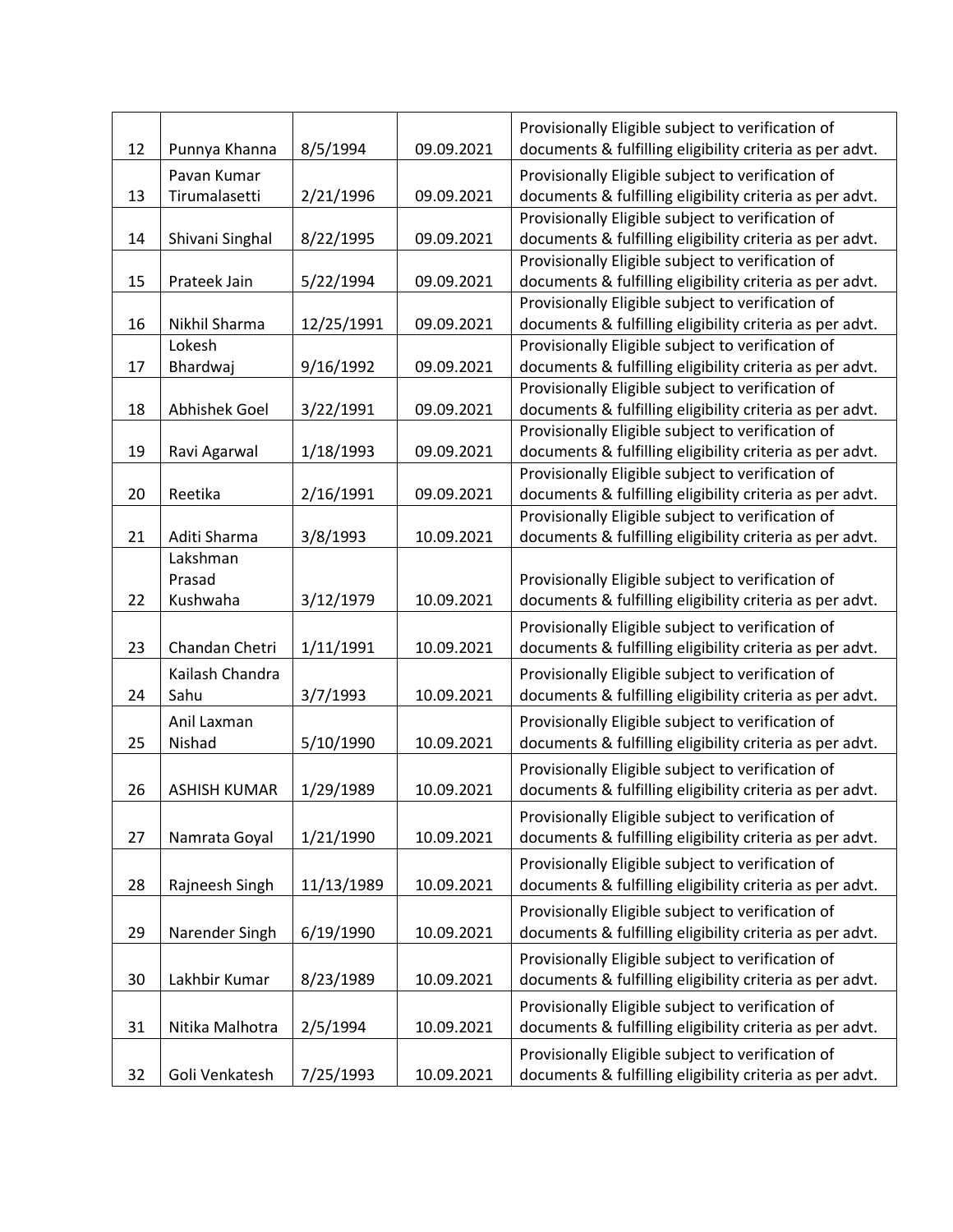|    |                     |            |            | Provisionally Eligible subject to verification of        |
|----|---------------------|------------|------------|----------------------------------------------------------|
| 12 | Punnya Khanna       | 8/5/1994   | 09.09.2021 | documents & fulfilling eligibility criteria as per advt. |
|    | Pavan Kumar         |            |            | Provisionally Eligible subject to verification of        |
| 13 | Tirumalasetti       | 2/21/1996  | 09.09.2021 | documents & fulfilling eligibility criteria as per advt. |
|    |                     |            |            | Provisionally Eligible subject to verification of        |
| 14 | Shivani Singhal     | 8/22/1995  | 09.09.2021 | documents & fulfilling eligibility criteria as per advt. |
|    |                     |            |            | Provisionally Eligible subject to verification of        |
| 15 | Prateek Jain        | 5/22/1994  | 09.09.2021 | documents & fulfilling eligibility criteria as per advt. |
|    |                     |            |            | Provisionally Eligible subject to verification of        |
| 16 | Nikhil Sharma       | 12/25/1991 | 09.09.2021 | documents & fulfilling eligibility criteria as per advt. |
|    | Lokesh              |            |            | Provisionally Eligible subject to verification of        |
| 17 | Bhardwaj            | 9/16/1992  | 09.09.2021 | documents & fulfilling eligibility criteria as per advt. |
|    |                     |            |            | Provisionally Eligible subject to verification of        |
| 18 | Abhishek Goel       | 3/22/1991  | 09.09.2021 | documents & fulfilling eligibility criteria as per advt. |
|    |                     |            |            | Provisionally Eligible subject to verification of        |
| 19 | Ravi Agarwal        | 1/18/1993  | 09.09.2021 | documents & fulfilling eligibility criteria as per advt. |
|    |                     |            |            | Provisionally Eligible subject to verification of        |
| 20 | Reetika             | 2/16/1991  | 09.09.2021 | documents & fulfilling eligibility criteria as per advt. |
|    |                     |            |            | Provisionally Eligible subject to verification of        |
| 21 | Aditi Sharma        | 3/8/1993   | 10.09.2021 | documents & fulfilling eligibility criteria as per advt. |
|    | Lakshman            |            |            |                                                          |
|    | Prasad              |            |            | Provisionally Eligible subject to verification of        |
| 22 | Kushwaha            | 3/12/1979  | 10.09.2021 | documents & fulfilling eligibility criteria as per advt. |
|    |                     |            |            | Provisionally Eligible subject to verification of        |
| 23 | Chandan Chetri      | 1/11/1991  | 10.09.2021 | documents & fulfilling eligibility criteria as per advt. |
|    | Kailash Chandra     |            |            | Provisionally Eligible subject to verification of        |
| 24 | Sahu                | 3/7/1993   | 10.09.2021 | documents & fulfilling eligibility criteria as per advt. |
|    | Anil Laxman         |            |            | Provisionally Eligible subject to verification of        |
| 25 | Nishad              | 5/10/1990  | 10.09.2021 | documents & fulfilling eligibility criteria as per advt. |
|    |                     |            |            | Provisionally Eligible subject to verification of        |
| 26 | <b>ASHISH KUMAR</b> | 1/29/1989  | 10.09.2021 | documents & fulfilling eligibility criteria as per advt. |
|    |                     |            |            |                                                          |
|    |                     |            |            | Provisionally Eligible subject to verification of        |
| 27 | Namrata Goyal       | 1/21/1990  | 10.09.2021 | documents & fulfilling eligibility criteria as per advt. |
|    |                     |            |            | Provisionally Eligible subject to verification of        |
| 28 | Rajneesh Singh      | 11/13/1989 | 10.09.2021 | documents & fulfilling eligibility criteria as per advt. |
|    |                     |            |            | Provisionally Eligible subject to verification of        |
| 29 | Narender Singh      | 6/19/1990  | 10.09.2021 | documents & fulfilling eligibility criteria as per advt. |
|    |                     |            |            | Provisionally Eligible subject to verification of        |
| 30 | Lakhbir Kumar       | 8/23/1989  | 10.09.2021 | documents & fulfilling eligibility criteria as per advt. |
|    |                     |            |            | Provisionally Eligible subject to verification of        |
| 31 | Nitika Malhotra     | 2/5/1994   | 10.09.2021 | documents & fulfilling eligibility criteria as per advt. |
|    |                     |            |            |                                                          |
|    |                     |            |            | Provisionally Eligible subject to verification of        |
| 32 | Goli Venkatesh      | 7/25/1993  | 10.09.2021 | documents & fulfilling eligibility criteria as per advt. |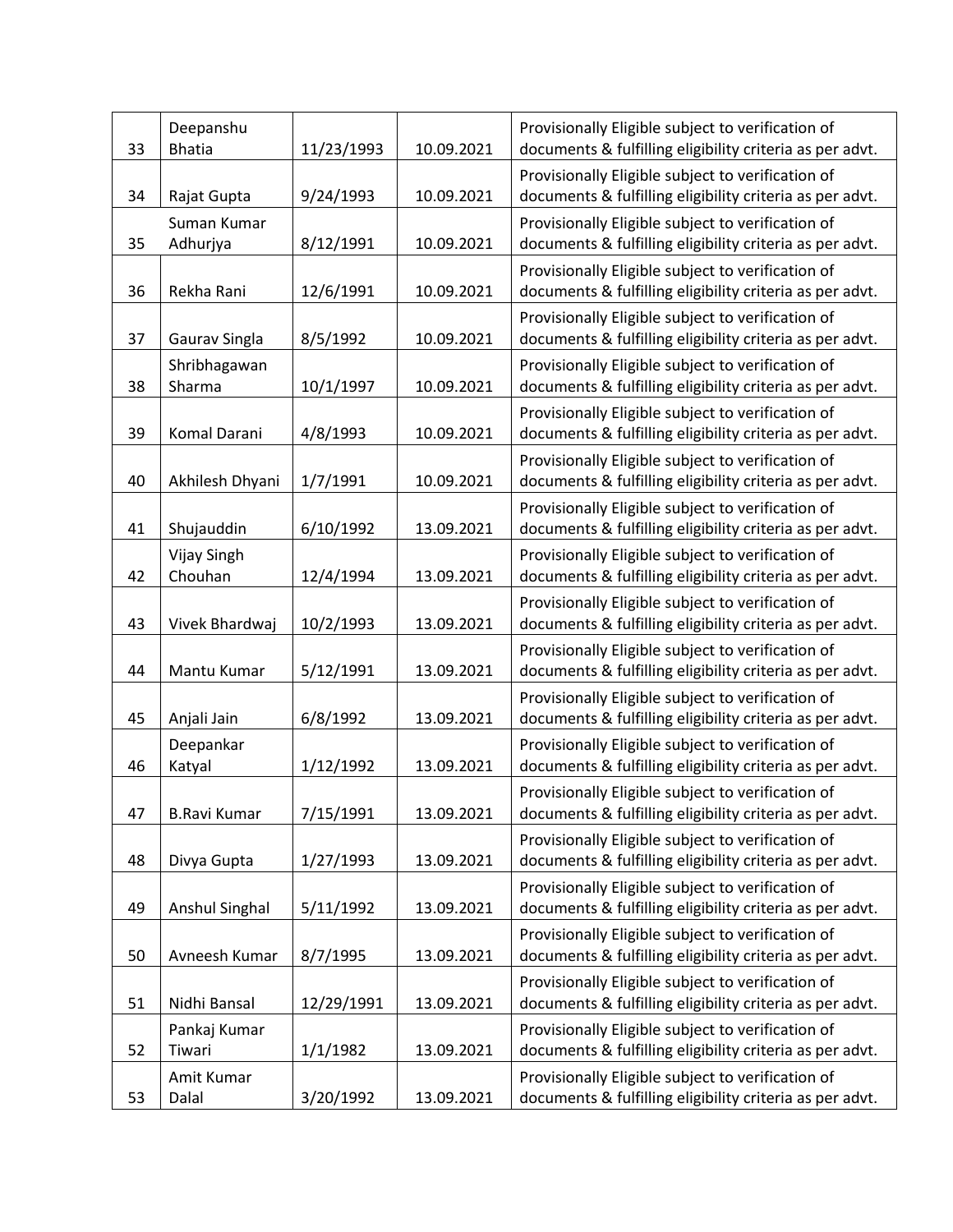| 33 | Deepanshu<br><b>Bhatia</b> | 11/23/1993 | 10.09.2021 | Provisionally Eligible subject to verification of<br>documents & fulfilling eligibility criteria as per advt. |
|----|----------------------------|------------|------------|---------------------------------------------------------------------------------------------------------------|
|    |                            |            |            | Provisionally Eligible subject to verification of                                                             |
| 34 | Rajat Gupta                | 9/24/1993  | 10.09.2021 | documents & fulfilling eligibility criteria as per advt.                                                      |
| 35 | Suman Kumar                |            | 10.09.2021 | Provisionally Eligible subject to verification of                                                             |
|    | Adhurjya                   | 8/12/1991  |            | documents & fulfilling eligibility criteria as per advt.<br>Provisionally Eligible subject to verification of |
| 36 | Rekha Rani                 | 12/6/1991  | 10.09.2021 | documents & fulfilling eligibility criteria as per advt.                                                      |
| 37 | Gaurav Singla              | 8/5/1992   | 10.09.2021 | Provisionally Eligible subject to verification of<br>documents & fulfilling eligibility criteria as per advt. |
| 38 | Shribhagawan<br>Sharma     | 10/1/1997  | 10.09.2021 | Provisionally Eligible subject to verification of<br>documents & fulfilling eligibility criteria as per advt. |
| 39 | Komal Darani               | 4/8/1993   | 10.09.2021 | Provisionally Eligible subject to verification of<br>documents & fulfilling eligibility criteria as per advt. |
| 40 | Akhilesh Dhyani            | 1/7/1991   | 10.09.2021 | Provisionally Eligible subject to verification of<br>documents & fulfilling eligibility criteria as per advt. |
| 41 | Shujauddin                 | 6/10/1992  | 13.09.2021 | Provisionally Eligible subject to verification of<br>documents & fulfilling eligibility criteria as per advt. |
|    | Vijay Singh                |            |            | Provisionally Eligible subject to verification of                                                             |
| 42 | Chouhan                    | 12/4/1994  | 13.09.2021 | documents & fulfilling eligibility criteria as per advt.                                                      |
| 43 | Vivek Bhardwaj             | 10/2/1993  | 13.09.2021 | Provisionally Eligible subject to verification of<br>documents & fulfilling eligibility criteria as per advt. |
| 44 | Mantu Kumar                | 5/12/1991  | 13.09.2021 | Provisionally Eligible subject to verification of<br>documents & fulfilling eligibility criteria as per advt. |
| 45 | Anjali Jain                | 6/8/1992   | 13.09.2021 | Provisionally Eligible subject to verification of<br>documents & fulfilling eligibility criteria as per advt. |
| 46 | Deepankar<br>Katyal        | 1/12/1992  | 13.09.2021 | Provisionally Eligible subject to verification of<br>documents & fulfilling eligibility criteria as per advt. |
| 47 | <b>B.Ravi Kumar</b>        | 7/15/1991  | 13.09.2021 | Provisionally Eligible subject to verification of<br>documents & fulfilling eligibility criteria as per advt. |
|    |                            |            |            | Provisionally Eligible subject to verification of                                                             |
| 48 | Divya Gupta                | 1/27/1993  | 13.09.2021 | documents & fulfilling eligibility criteria as per advt.                                                      |
| 49 | <b>Anshul Singhal</b>      | 5/11/1992  | 13.09.2021 | Provisionally Eligible subject to verification of<br>documents & fulfilling eligibility criteria as per advt. |
|    |                            |            |            | Provisionally Eligible subject to verification of                                                             |
| 50 | Avneesh Kumar              | 8/7/1995   | 13.09.2021 | documents & fulfilling eligibility criteria as per advt.                                                      |
| 51 | Nidhi Bansal               | 12/29/1991 | 13.09.2021 | Provisionally Eligible subject to verification of<br>documents & fulfilling eligibility criteria as per advt. |
|    | Pankaj Kumar               |            |            | Provisionally Eligible subject to verification of                                                             |
| 52 | Tiwari                     | 1/1/1982   | 13.09.2021 | documents & fulfilling eligibility criteria as per advt.                                                      |
| 53 | Amit Kumar<br>Dalal        | 3/20/1992  | 13.09.2021 | Provisionally Eligible subject to verification of<br>documents & fulfilling eligibility criteria as per advt. |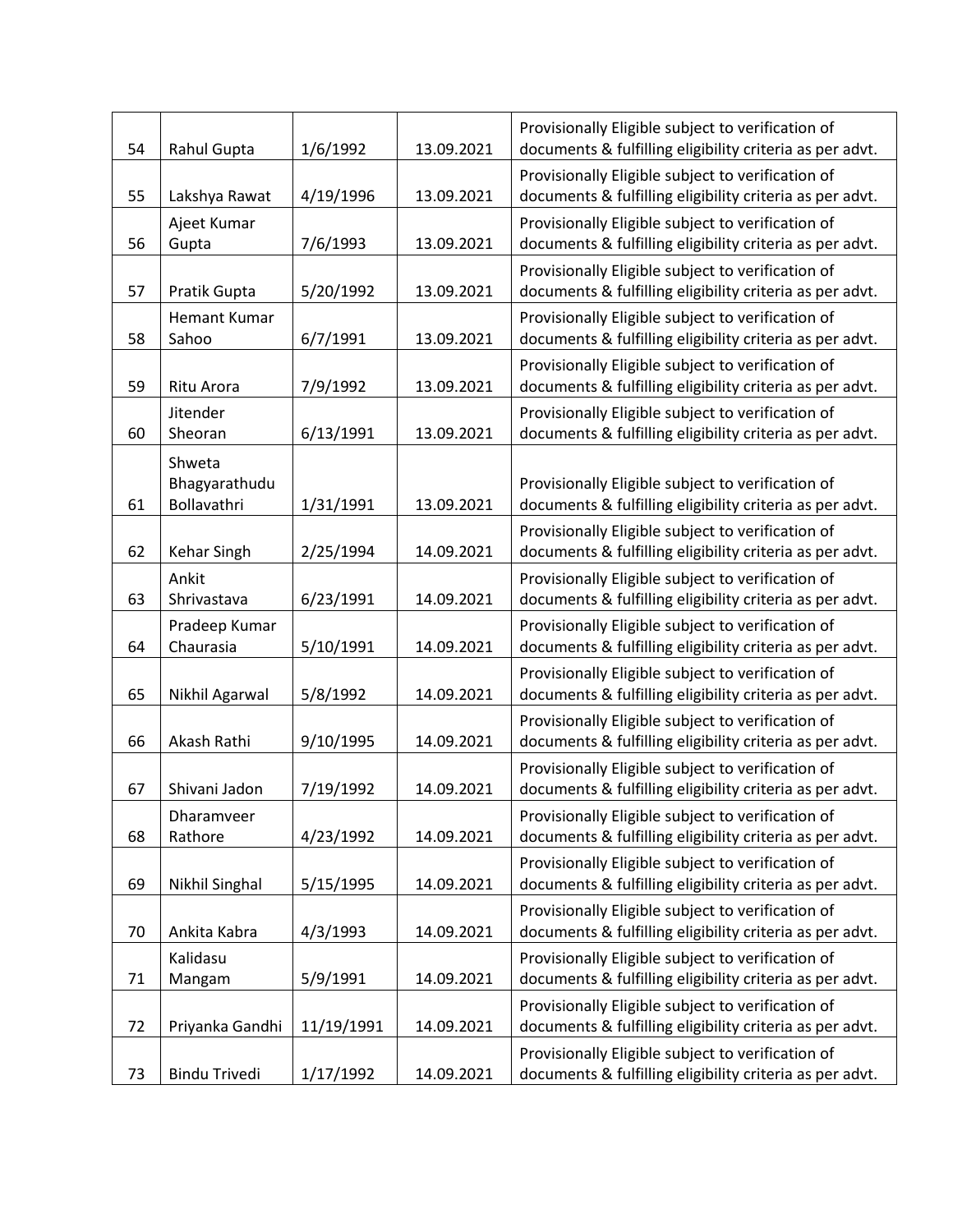| 54 | Rahul Gupta                  | 1/6/1992   | 13.09.2021 | Provisionally Eligible subject to verification of<br>documents & fulfilling eligibility criteria as per advt. |
|----|------------------------------|------------|------------|---------------------------------------------------------------------------------------------------------------|
| 55 | Lakshya Rawat                | 4/19/1996  | 13.09.2021 | Provisionally Eligible subject to verification of<br>documents & fulfilling eligibility criteria as per advt. |
|    | Ajeet Kumar                  |            |            | Provisionally Eligible subject to verification of                                                             |
| 56 | Gupta                        | 7/6/1993   | 13.09.2021 | documents & fulfilling eligibility criteria as per advt.                                                      |
| 57 | Pratik Gupta                 | 5/20/1992  | 13.09.2021 | Provisionally Eligible subject to verification of<br>documents & fulfilling eligibility criteria as per advt. |
| 58 | Hemant Kumar<br>Sahoo        | 6/7/1991   | 13.09.2021 | Provisionally Eligible subject to verification of<br>documents & fulfilling eligibility criteria as per advt. |
| 59 | Ritu Arora                   | 7/9/1992   | 13.09.2021 | Provisionally Eligible subject to verification of<br>documents & fulfilling eligibility criteria as per advt. |
| 60 | Jitender<br>Sheoran          | 6/13/1991  | 13.09.2021 | Provisionally Eligible subject to verification of<br>documents & fulfilling eligibility criteria as per advt. |
|    | Shweta                       |            |            |                                                                                                               |
| 61 | Bhagyarathudu<br>Bollavathri | 1/31/1991  | 13.09.2021 | Provisionally Eligible subject to verification of<br>documents & fulfilling eligibility criteria as per advt. |
|    |                              |            |            | Provisionally Eligible subject to verification of                                                             |
| 62 | Kehar Singh                  | 2/25/1994  | 14.09.2021 | documents & fulfilling eligibility criteria as per advt.                                                      |
| 63 | Ankit<br>Shrivastava         | 6/23/1991  | 14.09.2021 | Provisionally Eligible subject to verification of<br>documents & fulfilling eligibility criteria as per advt. |
| 64 | Pradeep Kumar<br>Chaurasia   | 5/10/1991  | 14.09.2021 | Provisionally Eligible subject to verification of<br>documents & fulfilling eligibility criteria as per advt. |
|    |                              |            |            | Provisionally Eligible subject to verification of                                                             |
| 65 | Nikhil Agarwal               | 5/8/1992   | 14.09.2021 | documents & fulfilling eligibility criteria as per advt.                                                      |
| 66 | Akash Rathi                  | 9/10/1995  | 14.09.2021 | Provisionally Eligible subject to verification of<br>documents & fulfilling eligibility criteria as per advt. |
| 67 | Shivani Jadon                | 7/19/1992  | 14.09.2021 | Provisionally Eligible subject to verification of<br>documents & fulfilling eligibility criteria as per advt. |
|    | Dharamveer                   |            |            | Provisionally Eligible subject to verification of                                                             |
| 68 | Rathore                      | 4/23/1992  | 14.09.2021 | documents & fulfilling eligibility criteria as per advt.                                                      |
| 69 | Nikhil Singhal               | 5/15/1995  | 14.09.2021 | Provisionally Eligible subject to verification of<br>documents & fulfilling eligibility criteria as per advt. |
| 70 | Ankita Kabra                 | 4/3/1993   | 14.09.2021 | Provisionally Eligible subject to verification of<br>documents & fulfilling eligibility criteria as per advt. |
|    | Kalidasu                     |            |            | Provisionally Eligible subject to verification of                                                             |
| 71 | Mangam                       | 5/9/1991   | 14.09.2021 | documents & fulfilling eligibility criteria as per advt.                                                      |
| 72 | Priyanka Gandhi              | 11/19/1991 | 14.09.2021 | Provisionally Eligible subject to verification of<br>documents & fulfilling eligibility criteria as per advt. |
| 73 | <b>Bindu Trivedi</b>         | 1/17/1992  | 14.09.2021 | Provisionally Eligible subject to verification of<br>documents & fulfilling eligibility criteria as per advt. |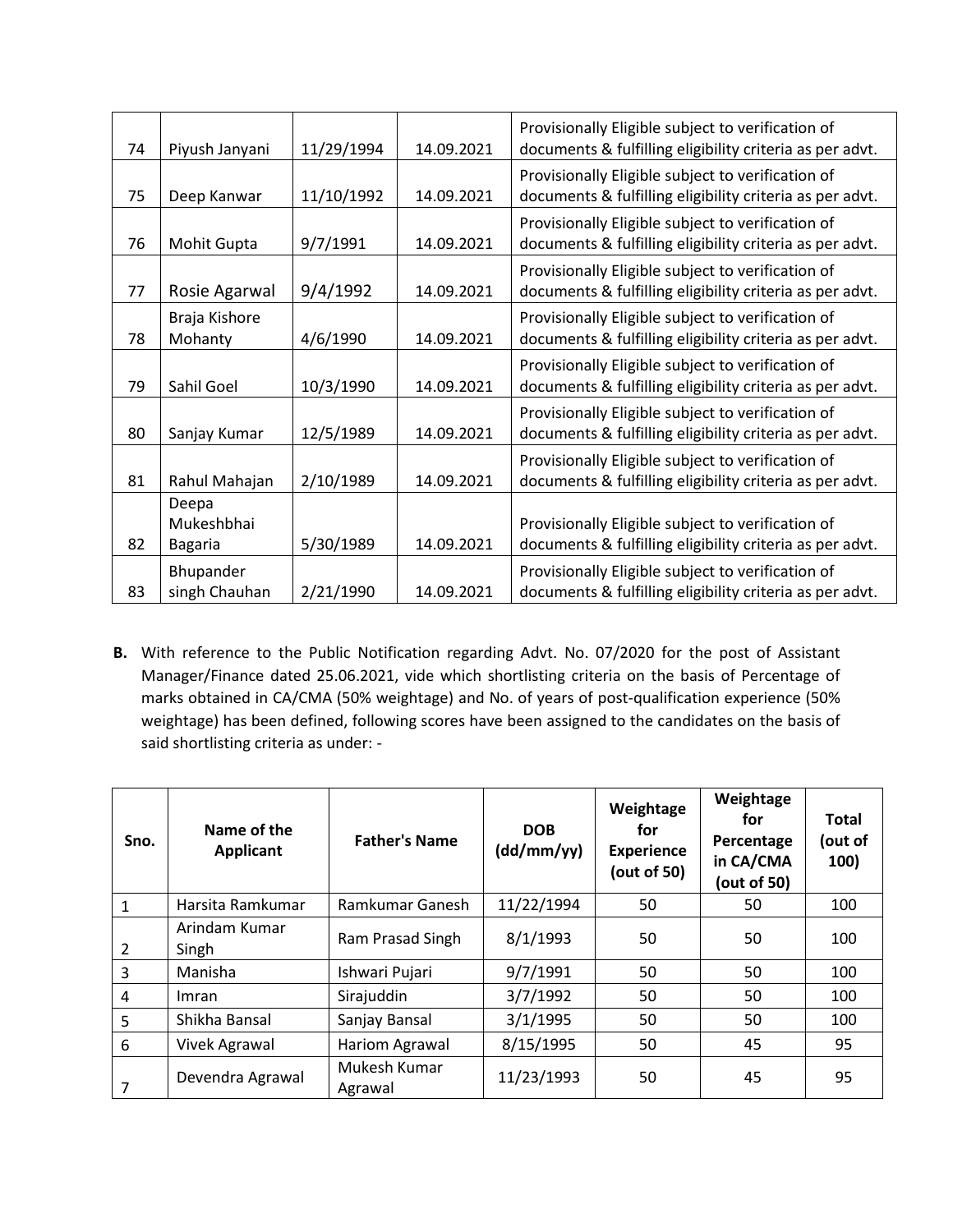| 74 | Piyush Janyani                        | 11/29/1994 | 14.09.2021 | Provisionally Eligible subject to verification of<br>documents & fulfilling eligibility criteria as per advt. |
|----|---------------------------------------|------------|------------|---------------------------------------------------------------------------------------------------------------|
| 75 | Deep Kanwar                           | 11/10/1992 | 14.09.2021 | Provisionally Eligible subject to verification of<br>documents & fulfilling eligibility criteria as per advt. |
| 76 | Mohit Gupta                           | 9/7/1991   | 14.09.2021 | Provisionally Eligible subject to verification of<br>documents & fulfilling eligibility criteria as per advt. |
| 77 | Rosie Agarwal                         | 9/4/1992   | 14.09.2021 | Provisionally Eligible subject to verification of<br>documents & fulfilling eligibility criteria as per advt. |
| 78 | Braja Kishore<br>Mohanty              | 4/6/1990   | 14.09.2021 | Provisionally Eligible subject to verification of<br>documents & fulfilling eligibility criteria as per advt. |
| 79 | Sahil Goel                            | 10/3/1990  | 14.09.2021 | Provisionally Eligible subject to verification of<br>documents & fulfilling eligibility criteria as per advt. |
| 80 | Sanjay Kumar                          | 12/5/1989  | 14.09.2021 | Provisionally Eligible subject to verification of<br>documents & fulfilling eligibility criteria as per advt. |
| 81 | Rahul Mahajan                         | 2/10/1989  | 14.09.2021 | Provisionally Eligible subject to verification of<br>documents & fulfilling eligibility criteria as per advt. |
| 82 | Deepa<br>Mukeshbhai<br><b>Bagaria</b> | 5/30/1989  | 14.09.2021 | Provisionally Eligible subject to verification of<br>documents & fulfilling eligibility criteria as per advt. |
| 83 | Bhupander<br>singh Chauhan            | 2/21/1990  | 14.09.2021 | Provisionally Eligible subject to verification of<br>documents & fulfilling eligibility criteria as per advt. |

**B.** With reference to the Public Notification regarding Advt. No. 07/2020 for the post of Assistant Manager/Finance dated 25.06.2021, vide which shortlisting criteria on the basis of Percentage of marks obtained in CA/CMA (50% weightage) and No. of years of post-qualification experience (50% weightage) has been defined, following scores have been assigned to the candidates on the basis of said shortlisting criteria as under: -

| Sno.           | Name of the<br>Applicant | <b>Father's Name</b>    | <b>DOB</b><br>(dd/mm/yy) | Weightage<br>for<br><b>Experience</b><br>(out of 50) | Weightage<br>for<br>Percentage<br>in CA/CMA<br>(out of 50) | <b>Total</b><br>(out of<br>100) |
|----------------|--------------------------|-------------------------|--------------------------|------------------------------------------------------|------------------------------------------------------------|---------------------------------|
| 1              | Harsita Ramkumar         | Ramkumar Ganesh         | 11/22/1994               | 50                                                   | 50                                                         | 100                             |
| $\overline{2}$ | Arindam Kumar<br>Singh   | Ram Prasad Singh        | 8/1/1993                 | 50                                                   | 50                                                         | 100                             |
| 3              | Manisha                  | Ishwari Pujari          | 9/7/1991                 | 50                                                   | 50                                                         | 100                             |
| 4              | Imran                    | Sirajuddin              | 3/7/1992                 | 50                                                   | 50                                                         | 100                             |
| 5              | Shikha Bansal            | Sanjay Bansal           | 3/1/1995                 | 50                                                   | 50                                                         | 100                             |
| 6              | Vivek Agrawal            | Hariom Agrawal          | 8/15/1995                | 50                                                   | 45                                                         | 95                              |
| 7              | Devendra Agrawal         | Mukesh Kumar<br>Agrawal | 11/23/1993               | 50                                                   | 45                                                         | 95                              |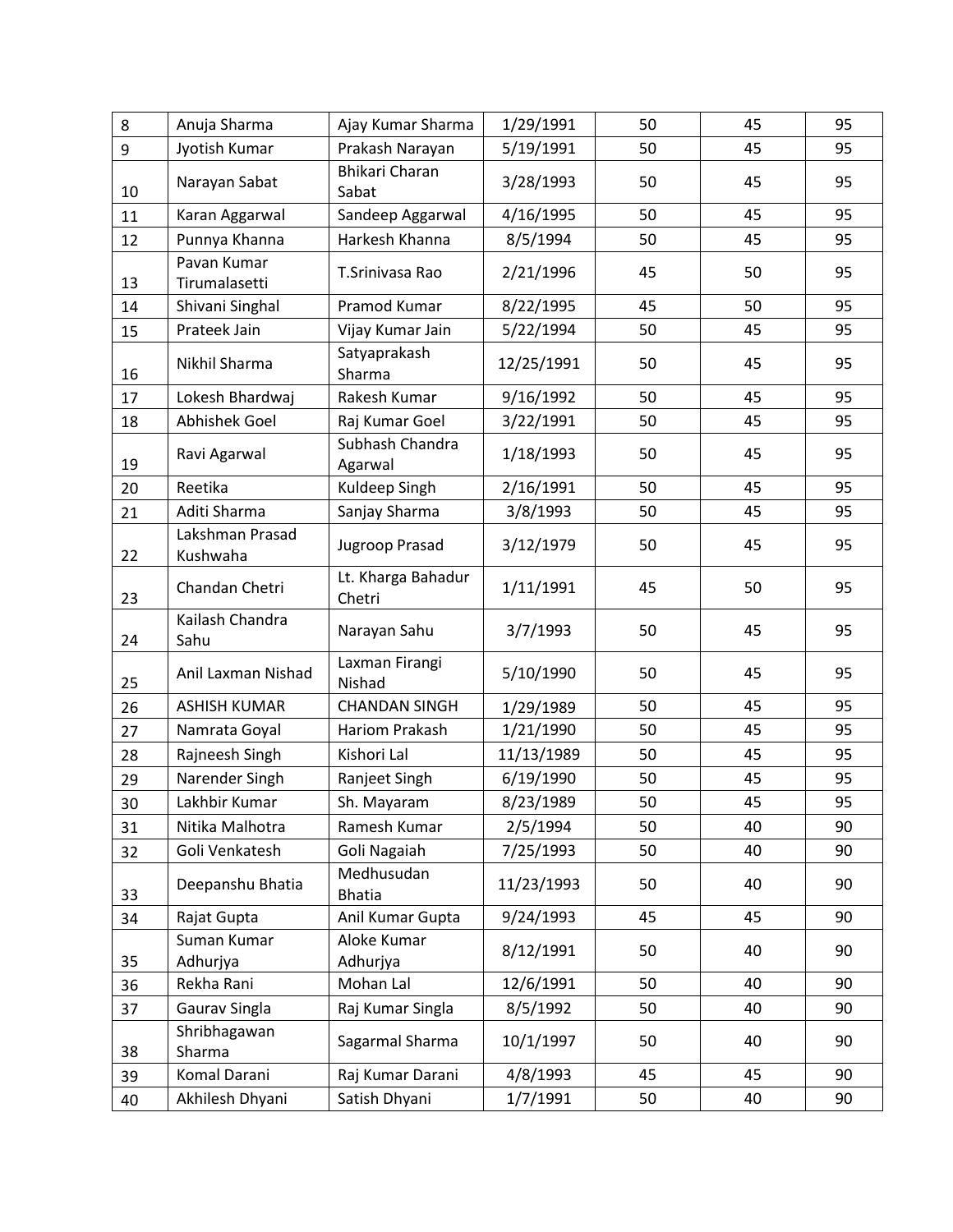| 8  | Anuja Sharma                 | Ajay Kumar Sharma              | 1/29/1991  | 50 | 45 | 95 |
|----|------------------------------|--------------------------------|------------|----|----|----|
| 9  | Jyotish Kumar                | Prakash Narayan                | 5/19/1991  | 50 | 45 | 95 |
| 10 | Narayan Sabat                | <b>Bhikari Charan</b><br>Sabat | 3/28/1993  | 50 | 45 | 95 |
| 11 | Karan Aggarwal               | Sandeep Aggarwal               | 4/16/1995  | 50 | 45 | 95 |
| 12 | Punnya Khanna                | Harkesh Khanna                 | 8/5/1994   | 50 | 45 | 95 |
| 13 | Pavan Kumar<br>Tirumalasetti | T.Srinivasa Rao                | 2/21/1996  | 45 | 50 | 95 |
| 14 | Shivani Singhal              | Pramod Kumar                   | 8/22/1995  | 45 | 50 | 95 |
| 15 | Prateek Jain                 | Vijay Kumar Jain               | 5/22/1994  | 50 | 45 | 95 |
| 16 | Nikhil Sharma                | Satyaprakash<br>Sharma         | 12/25/1991 | 50 | 45 | 95 |
| 17 | Lokesh Bhardwaj              | Rakesh Kumar                   | 9/16/1992  | 50 | 45 | 95 |
| 18 | Abhishek Goel                | Raj Kumar Goel                 | 3/22/1991  | 50 | 45 | 95 |
| 19 | Ravi Agarwal                 | Subhash Chandra<br>Agarwal     | 1/18/1993  | 50 | 45 | 95 |
| 20 | Reetika                      | Kuldeep Singh                  | 2/16/1991  | 50 | 45 | 95 |
| 21 | Aditi Sharma                 | Sanjay Sharma                  | 3/8/1993   | 50 | 45 | 95 |
| 22 | Lakshman Prasad<br>Kushwaha  | Jugroop Prasad                 | 3/12/1979  | 50 | 45 | 95 |
| 23 | Chandan Chetri               | Lt. Kharga Bahadur<br>Chetri   | 1/11/1991  | 45 | 50 | 95 |
| 24 | Kailash Chandra<br>Sahu      | Narayan Sahu                   | 3/7/1993   | 50 | 45 | 95 |
| 25 | Anil Laxman Nishad           | Laxman Firangi<br>Nishad       | 5/10/1990  | 50 | 45 | 95 |
| 26 | <b>ASHISH KUMAR</b>          | <b>CHANDAN SINGH</b>           | 1/29/1989  | 50 | 45 | 95 |
| 27 | Namrata Goyal                | Hariom Prakash                 | 1/21/1990  | 50 | 45 | 95 |
| 28 | Rajneesh Singh               | Kishori Lal                    | 11/13/1989 | 50 | 45 | 95 |
| 29 | Narender Singh               | Ranjeet Singh                  | 6/19/1990  | 50 | 45 | 95 |
| 30 | Lakhbir Kumar                | Sh. Mayaram                    | 8/23/1989  | 50 | 45 | 95 |
| 31 | Nitika Malhotra              | Ramesh Kumar                   | 2/5/1994   | 50 | 40 | 90 |
| 32 | Goli Venkatesh               | Goli Nagaiah                   | 7/25/1993  | 50 | 40 | 90 |
| 33 | Deepanshu Bhatia             | Medhusudan<br><b>Bhatia</b>    | 11/23/1993 | 50 | 40 | 90 |
| 34 | Rajat Gupta                  | Anil Kumar Gupta               | 9/24/1993  | 45 | 45 | 90 |
| 35 | Suman Kumar<br>Adhurjya      | Aloke Kumar<br>Adhurjya        | 8/12/1991  | 50 | 40 | 90 |
| 36 | Rekha Rani                   | Mohan Lal                      | 12/6/1991  | 50 | 40 | 90 |
| 37 | Gaurav Singla                | Raj Kumar Singla               | 8/5/1992   | 50 | 40 | 90 |
| 38 | Shribhagawan<br>Sharma       | Sagarmal Sharma                | 10/1/1997  | 50 | 40 | 90 |
| 39 | Komal Darani                 | Raj Kumar Darani               | 4/8/1993   | 45 | 45 | 90 |
| 40 | Akhilesh Dhyani              | Satish Dhyani                  | 1/7/1991   | 50 | 40 | 90 |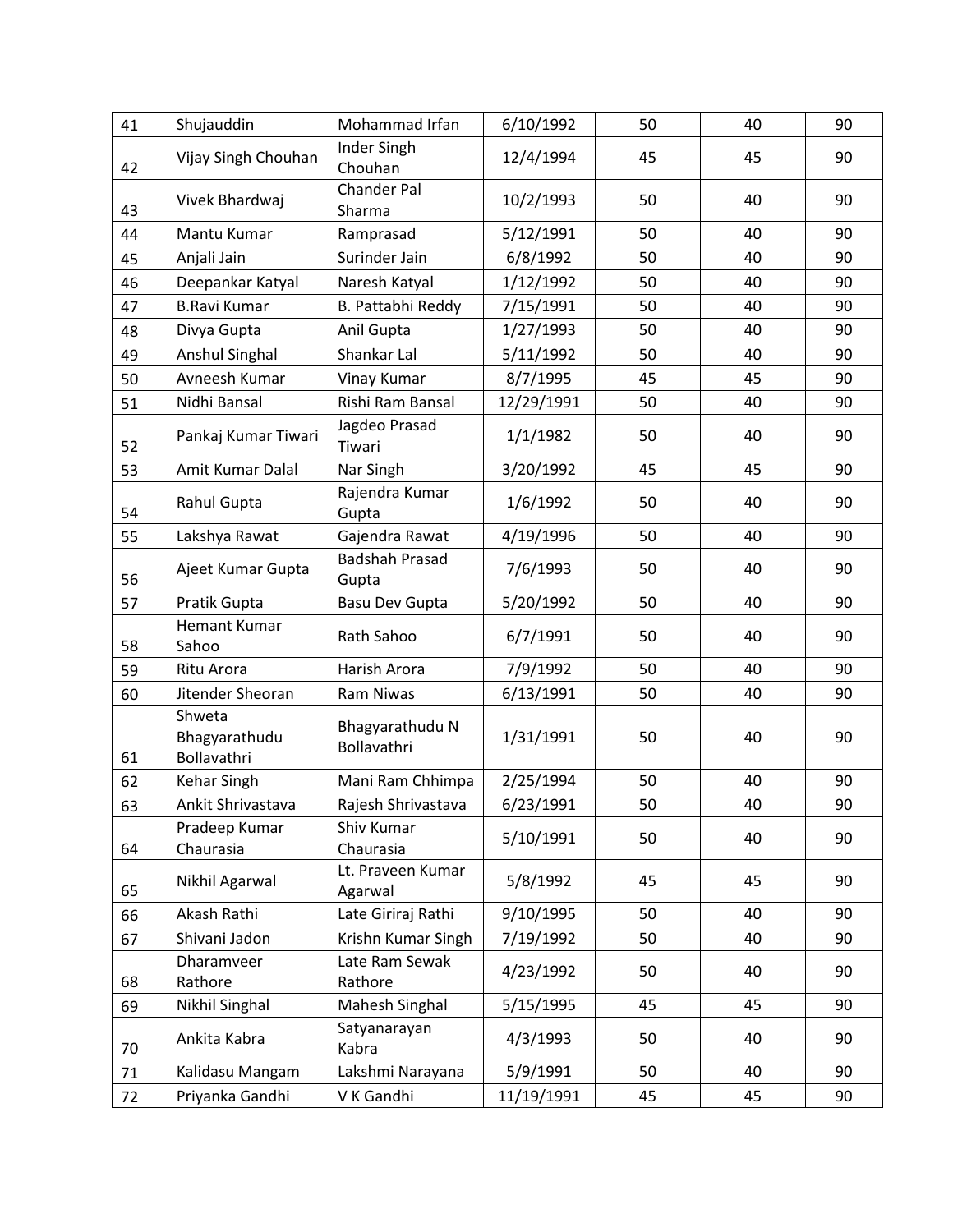| 41 | Shujauddin                             | Mohammad Irfan                 | 6/10/1992  | 50 | 40 | 90 |
|----|----------------------------------------|--------------------------------|------------|----|----|----|
| 42 | Vijay Singh Chouhan                    | Inder Singh<br>Chouhan         | 12/4/1994  | 45 | 45 | 90 |
| 43 | Vivek Bhardwaj                         | <b>Chander Pal</b><br>Sharma   | 10/2/1993  | 50 | 40 | 90 |
| 44 | Mantu Kumar                            | Ramprasad                      | 5/12/1991  | 50 | 40 | 90 |
| 45 | Anjali Jain                            | Surinder Jain                  | 6/8/1992   | 50 | 40 | 90 |
| 46 | Deepankar Katyal                       | Naresh Katyal                  | 1/12/1992  | 50 | 40 | 90 |
| 47 | <b>B.Ravi Kumar</b>                    | B. Pattabhi Reddy              | 7/15/1991  | 50 | 40 | 90 |
| 48 | Divya Gupta                            | Anil Gupta                     | 1/27/1993  | 50 | 40 | 90 |
| 49 | Anshul Singhal                         | Shankar Lal                    | 5/11/1992  | 50 | 40 | 90 |
| 50 | Avneesh Kumar                          | Vinay Kumar                    | 8/7/1995   | 45 | 45 | 90 |
| 51 | Nidhi Bansal                           | Rishi Ram Bansal               | 12/29/1991 | 50 | 40 | 90 |
| 52 | Pankaj Kumar Tiwari                    | Jagdeo Prasad<br>Tiwari        | 1/1/1982   | 50 | 40 | 90 |
| 53 | Amit Kumar Dalal                       | Nar Singh                      | 3/20/1992  | 45 | 45 | 90 |
| 54 | Rahul Gupta                            | Rajendra Kumar<br>Gupta        | 1/6/1992   | 50 | 40 | 90 |
| 55 | Lakshya Rawat                          | Gajendra Rawat                 | 4/19/1996  | 50 | 40 | 90 |
| 56 | Ajeet Kumar Gupta                      | <b>Badshah Prasad</b><br>Gupta | 7/6/1993   | 50 | 40 | 90 |
| 57 | Pratik Gupta                           | <b>Basu Dev Gupta</b>          | 5/20/1992  | 50 | 40 | 90 |
| 58 | <b>Hemant Kumar</b><br>Sahoo           | Rath Sahoo                     | 6/7/1991   | 50 | 40 | 90 |
| 59 | Ritu Arora                             | Harish Arora                   | 7/9/1992   | 50 | 40 | 90 |
| 60 | Jitender Sheoran                       | <b>Ram Niwas</b>               | 6/13/1991  | 50 | 40 | 90 |
| 61 | Shweta<br>Bhagyarathudu<br>Bollavathri | Bhagyarathudu N<br>Bollavathri | 1/31/1991  | 50 | 40 | 90 |
| 62 | Kehar Singh                            | Mani Ram Chhimpa               | 2/25/1994  | 50 | 40 | 90 |
| 63 | Ankit Shrivastava                      | Rajesh Shrivastava             | 6/23/1991  | 50 | 40 | 90 |
| 64 | Pradeep Kumar<br>Chaurasia             | Shiv Kumar<br>Chaurasia        | 5/10/1991  | 50 | 40 | 90 |
| 65 | Nikhil Agarwal                         | Lt. Praveen Kumar<br>Agarwal   | 5/8/1992   | 45 | 45 | 90 |
| 66 | Akash Rathi                            | Late Giriraj Rathi             | 9/10/1995  | 50 | 40 | 90 |
| 67 | Shivani Jadon                          | Krishn Kumar Singh             | 7/19/1992  | 50 | 40 | 90 |
| 68 | Dharamveer<br>Rathore                  | Late Ram Sewak<br>Rathore      | 4/23/1992  | 50 | 40 | 90 |
| 69 | Nikhil Singhal                         | Mahesh Singhal                 | 5/15/1995  | 45 | 45 | 90 |
| 70 | Ankita Kabra                           | Satyanarayan<br>Kabra          | 4/3/1993   | 50 | 40 | 90 |
| 71 | Kalidasu Mangam                        | Lakshmi Narayana               | 5/9/1991   | 50 | 40 | 90 |
| 72 | Priyanka Gandhi                        | V K Gandhi                     | 11/19/1991 | 45 | 45 | 90 |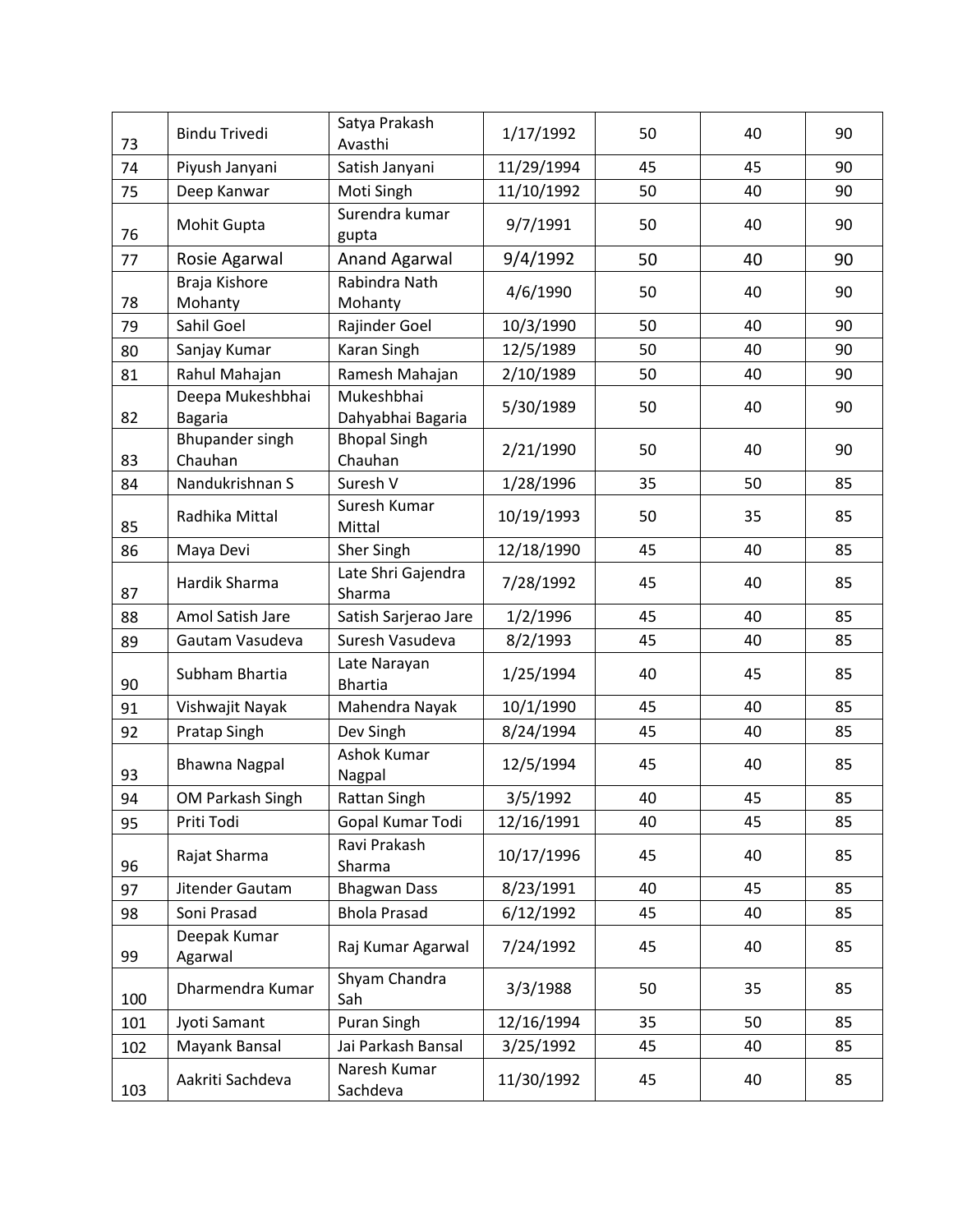| 73  | <b>Bindu Trivedi</b>               | Satya Prakash<br>Avasthi        | 1/17/1992  | 50 | 40 | 90 |
|-----|------------------------------------|---------------------------------|------------|----|----|----|
| 74  | Piyush Janyani                     | Satish Janyani                  | 11/29/1994 | 45 | 45 | 90 |
| 75  | Deep Kanwar                        | Moti Singh                      | 11/10/1992 | 50 | 40 | 90 |
| 76  | Mohit Gupta                        | Surendra kumar<br>gupta         | 9/7/1991   | 50 | 40 | 90 |
| 77  | Rosie Agarwal                      | Anand Agarwal                   | 9/4/1992   | 50 | 40 | 90 |
| 78  | Braja Kishore<br>Mohanty           | Rabindra Nath<br>Mohanty        | 4/6/1990   | 50 | 40 | 90 |
| 79  | Sahil Goel                         | Rajinder Goel                   | 10/3/1990  | 50 | 40 | 90 |
| 80  | Sanjay Kumar                       | Karan Singh                     | 12/5/1989  | 50 | 40 | 90 |
| 81  | Rahul Mahajan                      | Ramesh Mahajan                  | 2/10/1989  | 50 | 40 | 90 |
| 82  | Deepa Mukeshbhai<br><b>Bagaria</b> | Mukeshbhai<br>Dahyabhai Bagaria | 5/30/1989  | 50 | 40 | 90 |
| 83  | <b>Bhupander singh</b><br>Chauhan  | <b>Bhopal Singh</b><br>Chauhan  | 2/21/1990  | 50 | 40 | 90 |
| 84  | Nandukrishnan S                    | Suresh V                        | 1/28/1996  | 35 | 50 | 85 |
| 85  | Radhika Mittal                     | Suresh Kumar<br>Mittal          | 10/19/1993 | 50 | 35 | 85 |
| 86  | Maya Devi                          | Sher Singh                      | 12/18/1990 | 45 | 40 | 85 |
| 87  | Hardik Sharma                      | Late Shri Gajendra<br>Sharma    | 7/28/1992  | 45 | 40 | 85 |
| 88  | Amol Satish Jare                   | Satish Sarjerao Jare            | 1/2/1996   | 45 | 40 | 85 |
| 89  | Gautam Vasudeva                    | Suresh Vasudeva                 | 8/2/1993   | 45 | 40 | 85 |
| 90  | Subham Bhartia                     | Late Narayan<br><b>Bhartia</b>  | 1/25/1994  | 40 | 45 | 85 |
| 91  | Vishwajit Nayak                    | Mahendra Nayak                  | 10/1/1990  | 45 | 40 | 85 |
| 92  | Pratap Singh                       | Dev Singh                       | 8/24/1994  | 45 | 40 | 85 |
| 93  | <b>Bhawna Nagpal</b>               | Ashok Kumar<br>Nagpal           | 12/5/1994  | 45 | 40 | 85 |
| 94  | OM Parkash Singh                   | Rattan Singh                    | 3/5/1992   | 40 | 45 | 85 |
| 95  | Priti Todi                         | Gopal Kumar Todi                | 12/16/1991 | 40 | 45 | 85 |
| 96  | Rajat Sharma                       | Ravi Prakash<br>Sharma          | 10/17/1996 | 45 | 40 | 85 |
| 97  | Jitender Gautam                    | <b>Bhagwan Dass</b>             | 8/23/1991  | 40 | 45 | 85 |
| 98  | Soni Prasad                        | <b>Bhola Prasad</b>             | 6/12/1992  | 45 | 40 | 85 |
| 99  | Deepak Kumar<br>Agarwal            | Raj Kumar Agarwal               | 7/24/1992  | 45 | 40 | 85 |
| 100 | Dharmendra Kumar                   | Shyam Chandra<br>Sah            | 3/3/1988   | 50 | 35 | 85 |
| 101 | Jyoti Samant                       | Puran Singh                     | 12/16/1994 | 35 | 50 | 85 |
| 102 | Mayank Bansal                      | Jai Parkash Bansal              | 3/25/1992  | 45 | 40 | 85 |
| 103 | Aakriti Sachdeva                   | Naresh Kumar<br>Sachdeva        | 11/30/1992 | 45 | 40 | 85 |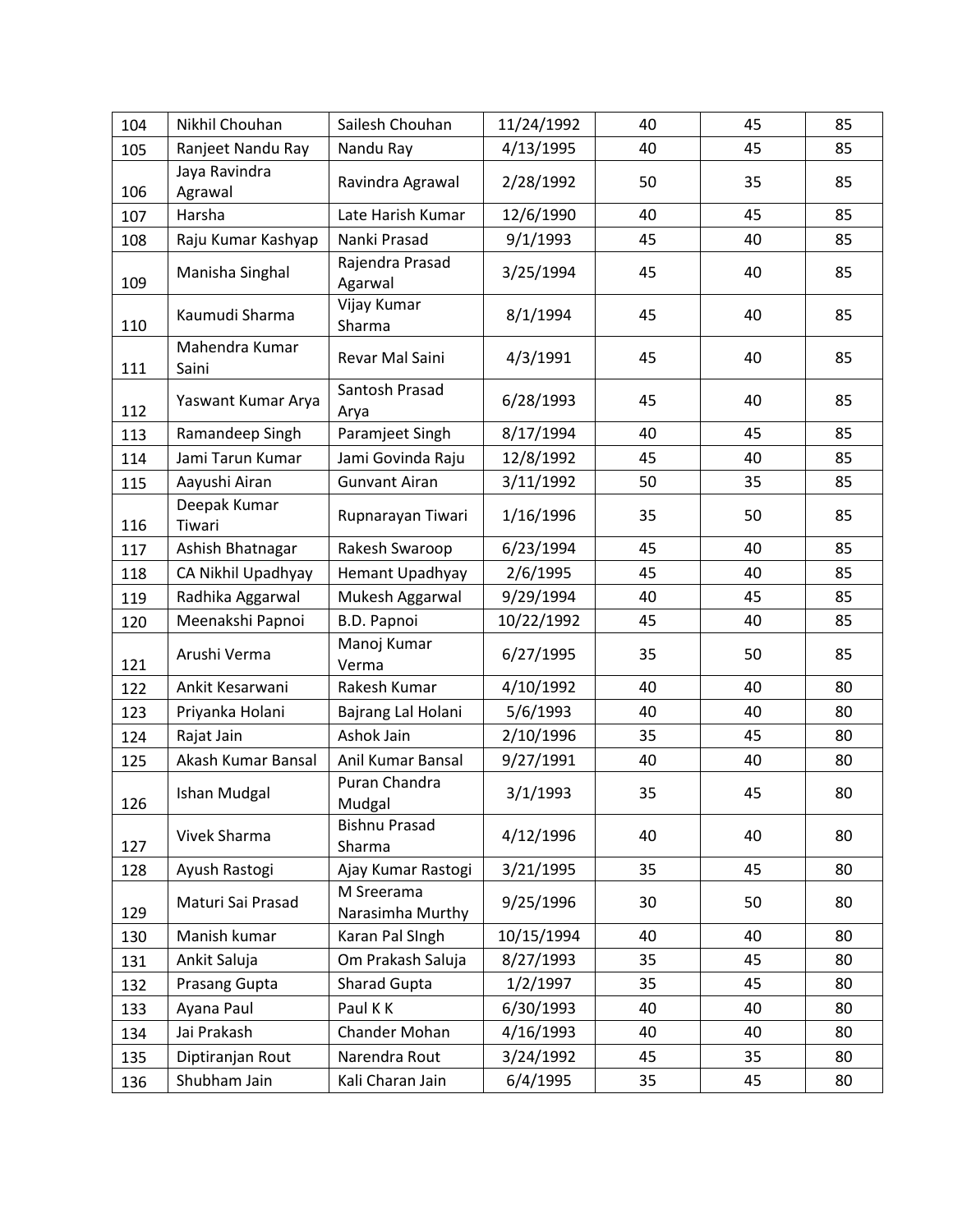| 104 | Nikhil Chouhan           | Sailesh Chouhan                | 11/24/1992 | 40 | 45 | 85 |
|-----|--------------------------|--------------------------------|------------|----|----|----|
| 105 | Ranjeet Nandu Ray        | Nandu Ray                      | 4/13/1995  | 40 | 45 | 85 |
| 106 | Jaya Ravindra<br>Agrawal | Ravindra Agrawal               | 2/28/1992  | 50 | 35 | 85 |
| 107 | Harsha                   | Late Harish Kumar              | 12/6/1990  | 40 | 45 | 85 |
| 108 | Raju Kumar Kashyap       | Nanki Prasad                   | 9/1/1993   | 45 | 40 | 85 |
| 109 | Manisha Singhal          | Rajendra Prasad<br>Agarwal     | 3/25/1994  | 45 | 40 | 85 |
| 110 | Kaumudi Sharma           | Vijay Kumar<br>Sharma          | 8/1/1994   | 45 | 40 | 85 |
| 111 | Mahendra Kumar<br>Saini  | Revar Mal Saini                | 4/3/1991   | 45 | 40 | 85 |
| 112 | Yaswant Kumar Arya       | Santosh Prasad<br>Arya         | 6/28/1993  | 45 | 40 | 85 |
| 113 | Ramandeep Singh          | Paramjeet Singh                | 8/17/1994  | 40 | 45 | 85 |
| 114 | Jami Tarun Kumar         | Jami Govinda Raju              | 12/8/1992  | 45 | 40 | 85 |
| 115 | Aayushi Airan            | <b>Gunvant Airan</b>           | 3/11/1992  | 50 | 35 | 85 |
| 116 | Deepak Kumar<br>Tiwari   | Rupnarayan Tiwari              | 1/16/1996  | 35 | 50 | 85 |
| 117 | Ashish Bhatnagar         | Rakesh Swaroop                 | 6/23/1994  | 45 | 40 | 85 |
| 118 | CA Nikhil Upadhyay       | Hemant Upadhyay                | 2/6/1995   | 45 | 40 | 85 |
| 119 | Radhika Aggarwal         | Mukesh Aggarwal                | 9/29/1994  | 40 | 45 | 85 |
| 120 | Meenakshi Papnoi         | <b>B.D. Papnoi</b>             | 10/22/1992 | 45 | 40 | 85 |
| 121 | Arushi Verma             | Manoj Kumar<br>Verma           | 6/27/1995  | 35 | 50 | 85 |
| 122 | Ankit Kesarwani          | Rakesh Kumar                   | 4/10/1992  | 40 | 40 | 80 |
| 123 | Priyanka Holani          | Bajrang Lal Holani             | 5/6/1993   | 40 | 40 | 80 |
| 124 | Rajat Jain               | Ashok Jain                     | 2/10/1996  | 35 | 45 | 80 |
| 125 | Akash Kumar Bansal       | Anil Kumar Bansal              | 9/27/1991  | 40 | 40 | 80 |
| 126 | <b>Ishan Mudgal</b>      | Puran Chandra<br>Mudgal        | 3/1/1993   | 35 | 45 | 80 |
| 127 | Vivek Sharma             | <b>Bishnu Prasad</b><br>Sharma | 4/12/1996  | 40 | 40 | 80 |
| 128 | Ayush Rastogi            | Ajay Kumar Rastogi             | 3/21/1995  | 35 | 45 | 80 |
| 129 | Maturi Sai Prasad        | M Sreerama<br>Narasimha Murthy | 9/25/1996  | 30 | 50 | 80 |
| 130 | Manish kumar             | Karan Pal SIngh                | 10/15/1994 | 40 | 40 | 80 |
| 131 | Ankit Saluja             | Om Prakash Saluja              | 8/27/1993  | 35 | 45 | 80 |
| 132 | Prasang Gupta            | Sharad Gupta                   | 1/2/1997   | 35 | 45 | 80 |
| 133 | Ayana Paul               | Paul K K                       | 6/30/1993  | 40 | 40 | 80 |
| 134 | Jai Prakash              | Chander Mohan                  | 4/16/1993  | 40 | 40 | 80 |
| 135 | Diptiranjan Rout         | Narendra Rout                  | 3/24/1992  | 45 | 35 | 80 |
| 136 | Shubham Jain             | Kali Charan Jain               | 6/4/1995   | 35 | 45 | 80 |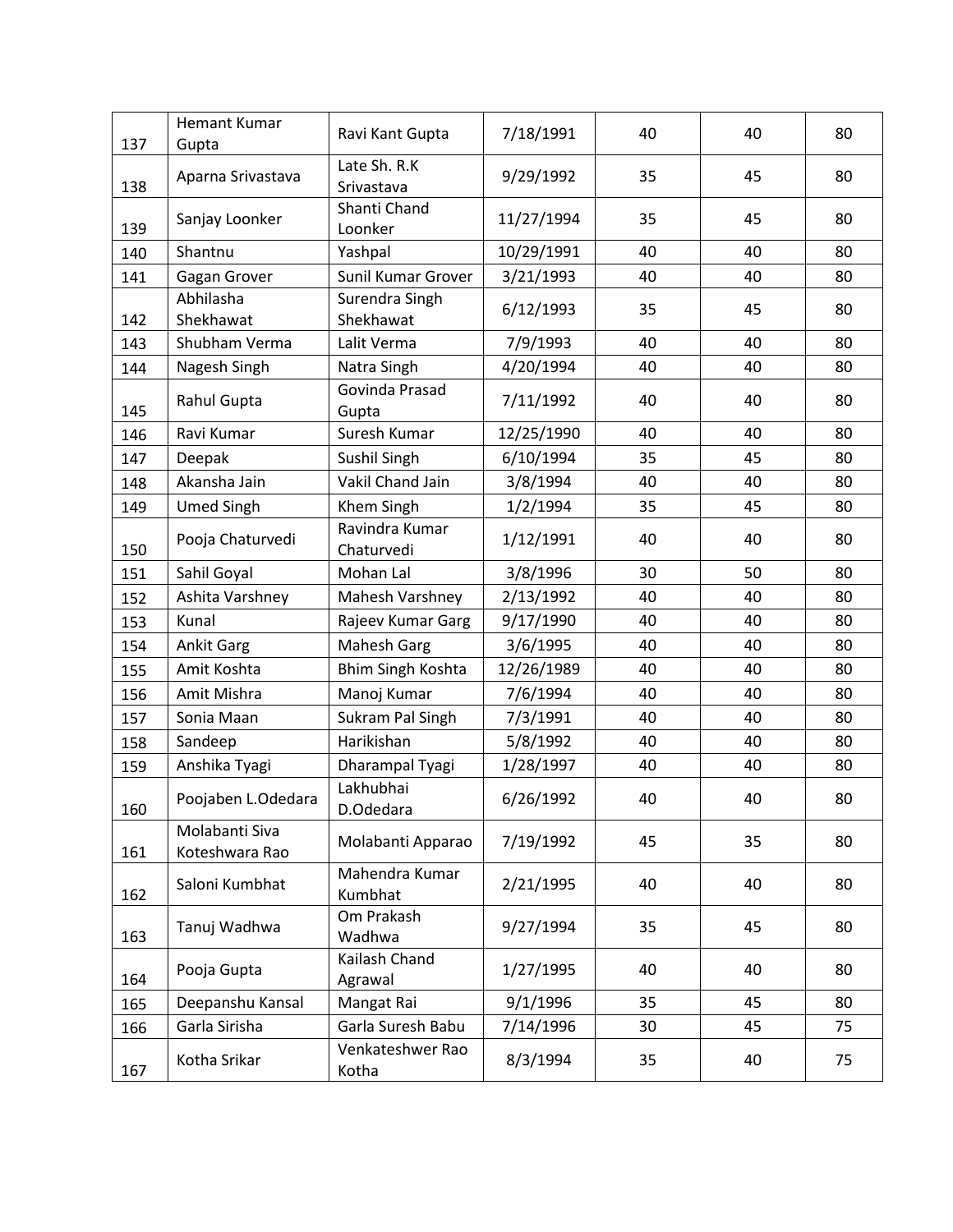| 137 | <b>Hemant Kumar</b><br>Gupta     | Ravi Kant Gupta              | 7/18/1991  | 40 | 40 | 80 |
|-----|----------------------------------|------------------------------|------------|----|----|----|
| 138 | Aparna Srivastava                | Late Sh. R.K<br>Srivastava   | 9/29/1992  | 35 | 45 | 80 |
| 139 | Sanjay Loonker                   | Shanti Chand<br>Loonker      | 11/27/1994 | 35 | 45 | 80 |
| 140 | Shantnu                          | Yashpal                      | 10/29/1991 | 40 | 40 | 80 |
| 141 | Gagan Grover                     | Sunil Kumar Grover           | 3/21/1993  | 40 | 40 | 80 |
| 142 | Abhilasha<br>Shekhawat           | Surendra Singh<br>Shekhawat  | 6/12/1993  | 35 | 45 | 80 |
| 143 | Shubham Verma                    | Lalit Verma                  | 7/9/1993   | 40 | 40 | 80 |
| 144 | Nagesh Singh                     | Natra Singh                  | 4/20/1994  | 40 | 40 | 80 |
| 145 | Rahul Gupta                      | Govinda Prasad<br>Gupta      | 7/11/1992  | 40 | 40 | 80 |
| 146 | Ravi Kumar                       | Suresh Kumar                 | 12/25/1990 | 40 | 40 | 80 |
| 147 | Deepak                           | Sushil Singh                 | 6/10/1994  | 35 | 45 | 80 |
| 148 | Akansha Jain                     | Vakil Chand Jain             | 3/8/1994   | 40 | 40 | 80 |
| 149 | <b>Umed Singh</b>                | Khem Singh                   | 1/2/1994   | 35 | 45 | 80 |
| 150 | Pooja Chaturvedi                 | Ravindra Kumar<br>Chaturvedi | 1/12/1991  | 40 | 40 | 80 |
| 151 | Sahil Goyal                      | Mohan Lal                    | 3/8/1996   | 30 | 50 | 80 |
| 152 | Ashita Varshney                  | Mahesh Varshney              | 2/13/1992  | 40 | 40 | 80 |
| 153 | Kunal                            | Rajeev Kumar Garg            | 9/17/1990  | 40 | 40 | 80 |
| 154 | <b>Ankit Garg</b>                | <b>Mahesh Garg</b>           | 3/6/1995   | 40 | 40 | 80 |
| 155 | Amit Koshta                      | Bhim Singh Koshta            | 12/26/1989 | 40 | 40 | 80 |
| 156 | Amit Mishra                      | Manoj Kumar                  | 7/6/1994   | 40 | 40 | 80 |
| 157 | Sonia Maan                       | Sukram Pal Singh             | 7/3/1991   | 40 | 40 | 80 |
| 158 | Sandeep                          | Harikishan                   | 5/8/1992   | 40 | 40 | 80 |
| 159 | Anshika Tyagi                    | Dharampal Tyagi              | 1/28/1997  | 40 | 40 | 80 |
| 160 | Poojaben L.Odedara               | Lakhubhai<br>D.Odedara       | 6/26/1992  | 40 | 40 | 80 |
| 161 | Molabanti Siva<br>Koteshwara Rao | Molabanti Apparao            | 7/19/1992  | 45 | 35 | 80 |
| 162 | Saloni Kumbhat                   | Mahendra Kumar<br>Kumbhat    | 2/21/1995  | 40 | 40 | 80 |
| 163 | Tanuj Wadhwa                     | Om Prakash<br>Wadhwa         | 9/27/1994  | 35 | 45 | 80 |
| 164 | Pooja Gupta                      | Kailash Chand<br>Agrawal     | 1/27/1995  | 40 | 40 | 80 |
| 165 | Deepanshu Kansal                 | Mangat Rai                   | 9/1/1996   | 35 | 45 | 80 |
| 166 | Garla Sirisha                    | Garla Suresh Babu            | 7/14/1996  | 30 | 45 | 75 |
| 167 | Kotha Srikar                     | Venkateshwer Rao<br>Kotha    | 8/3/1994   | 35 | 40 | 75 |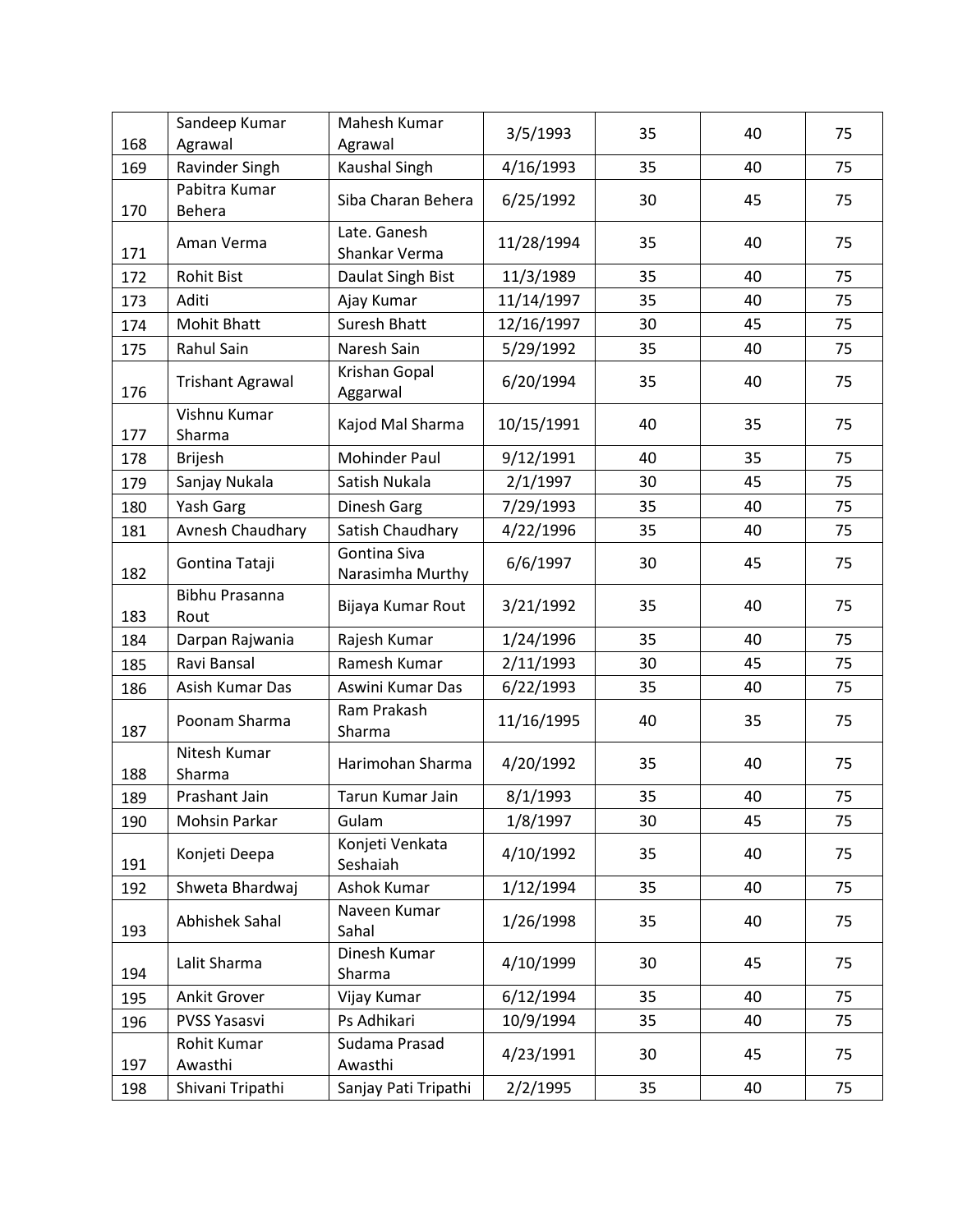| 168 | Sandeep Kumar<br>Agrawal       | Mahesh Kumar<br>Agrawal          | 3/5/1993   | 35 | 40 | 75 |
|-----|--------------------------------|----------------------------------|------------|----|----|----|
| 169 | Ravinder Singh                 | Kaushal Singh                    | 4/16/1993  | 35 | 40 | 75 |
| 170 | Pabitra Kumar<br><b>Behera</b> | Siba Charan Behera               | 6/25/1992  | 30 | 45 | 75 |
| 171 | Aman Verma                     | Late. Ganesh<br>Shankar Verma    | 11/28/1994 | 35 | 40 | 75 |
| 172 | <b>Rohit Bist</b>              | Daulat Singh Bist                | 11/3/1989  | 35 | 40 | 75 |
| 173 | Aditi                          | Ajay Kumar                       | 11/14/1997 | 35 | 40 | 75 |
| 174 | <b>Mohit Bhatt</b>             | Suresh Bhatt                     | 12/16/1997 | 30 | 45 | 75 |
| 175 | Rahul Sain                     | Naresh Sain                      | 5/29/1992  | 35 | 40 | 75 |
| 176 | <b>Trishant Agrawal</b>        | Krishan Gopal<br>Aggarwal        | 6/20/1994  | 35 | 40 | 75 |
| 177 | Vishnu Kumar<br>Sharma         | Kajod Mal Sharma                 | 10/15/1991 | 40 | 35 | 75 |
| 178 | <b>Brijesh</b>                 | Mohinder Paul                    | 9/12/1991  | 40 | 35 | 75 |
| 179 | Sanjay Nukala                  | Satish Nukala                    | 2/1/1997   | 30 | 45 | 75 |
| 180 | Yash Garg                      | Dinesh Garg                      | 7/29/1993  | 35 | 40 | 75 |
| 181 | Avnesh Chaudhary               | Satish Chaudhary                 | 4/22/1996  | 35 | 40 | 75 |
| 182 | Gontina Tataji                 | Gontina Siva<br>Narasimha Murthy | 6/6/1997   | 30 | 45 | 75 |
| 183 | <b>Bibhu Prasanna</b><br>Rout  | Bijaya Kumar Rout                | 3/21/1992  | 35 | 40 | 75 |
| 184 | Darpan Rajwania                | Rajesh Kumar                     | 1/24/1996  | 35 | 40 | 75 |
| 185 | Ravi Bansal                    | Ramesh Kumar                     | 2/11/1993  | 30 | 45 | 75 |
| 186 | Asish Kumar Das                | Aswini Kumar Das                 | 6/22/1993  | 35 | 40 | 75 |
| 187 | Poonam Sharma                  | Ram Prakash<br>Sharma            | 11/16/1995 | 40 | 35 | 75 |
| 188 | Nitesh Kumar<br>Sharma         | Harimohan Sharma                 | 4/20/1992  | 35 | 40 | 75 |
| 189 | Prashant Jain                  | Tarun Kumar Jain                 | 8/1/1993   | 35 | 40 | 75 |
| 190 | Mohsin Parkar                  | Gulam                            | 1/8/1997   | 30 | 45 | 75 |
| 191 | Konjeti Deepa                  | Konjeti Venkata<br>Seshaiah      | 4/10/1992  | 35 | 40 | 75 |
| 192 | Shweta Bhardwaj                | Ashok Kumar                      | 1/12/1994  | 35 | 40 | 75 |
| 193 | Abhishek Sahal                 | Naveen Kumar<br>Sahal            | 1/26/1998  | 35 | 40 | 75 |
| 194 | Lalit Sharma                   | Dinesh Kumar<br>Sharma           | 4/10/1999  | 30 | 45 | 75 |
| 195 | Ankit Grover                   | Vijay Kumar                      | 6/12/1994  | 35 | 40 | 75 |
| 196 | PVSS Yasasvi                   | Ps Adhikari                      | 10/9/1994  | 35 | 40 | 75 |
| 197 | Rohit Kumar<br>Awasthi         | Sudama Prasad<br>Awasthi         | 4/23/1991  | 30 | 45 | 75 |
| 198 | Shivani Tripathi               | Sanjay Pati Tripathi             | 2/2/1995   | 35 | 40 | 75 |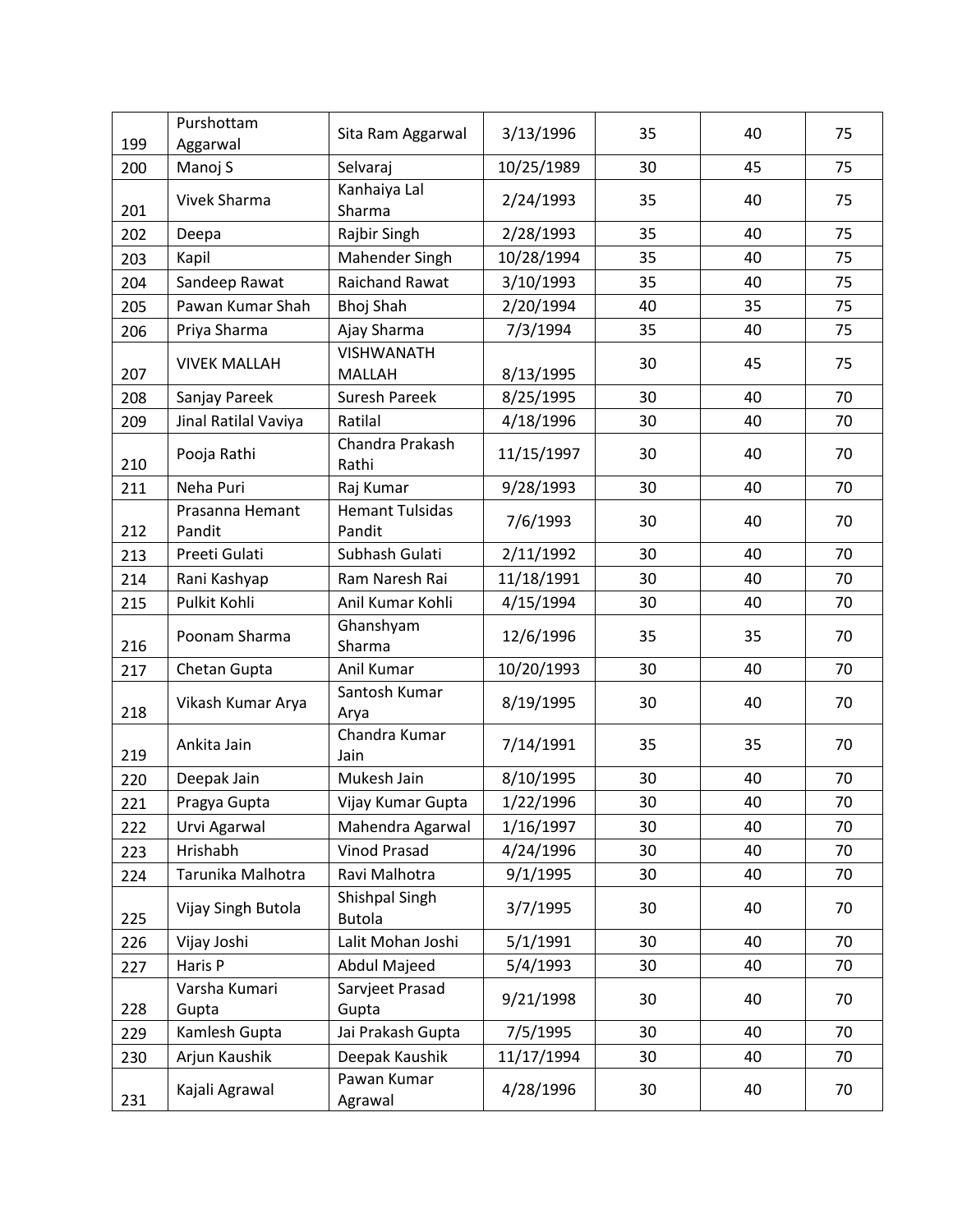| 199 | Purshottam<br>Aggarwal                                    | Sita Ram Aggarwal                | 3/13/1996  | 35 | 40 | 75 |
|-----|-----------------------------------------------------------|----------------------------------|------------|----|----|----|
| 200 | Manoj S                                                   | Selvaraj                         | 10/25/1989 | 30 | 45 | 75 |
| 201 | Vivek Sharma                                              | Kanhaiya Lal<br>Sharma           |            | 35 | 40 | 75 |
| 202 | Rajbir Singh<br>Deepa                                     |                                  | 2/28/1993  | 35 | 40 | 75 |
| 203 | Kapil                                                     | Mahender Singh                   | 10/28/1994 | 35 | 40 | 75 |
| 204 | Sandeep Rawat                                             | <b>Raichand Rawat</b>            | 3/10/1993  | 35 | 40 | 75 |
| 205 | Pawan Kumar Shah                                          | <b>Bhoj Shah</b>                 | 2/20/1994  | 40 | 35 | 75 |
| 206 | Priya Sharma                                              | Ajay Sharma                      | 7/3/1994   | 35 | 40 | 75 |
| 207 | <b>VISHWANATH</b><br><b>VIVEK MALLAH</b><br><b>MALLAH</b> |                                  | 8/13/1995  | 30 | 45 | 75 |
| 208 | Sanjay Pareek                                             | Suresh Pareek                    | 8/25/1995  | 30 | 40 | 70 |
| 209 | Jinal Ratilal Vaviya                                      | Ratilal                          | 4/18/1996  | 30 | 40 | 70 |
| 210 | Pooja Rathi                                               | Chandra Prakash<br>Rathi         | 11/15/1997 | 30 | 40 | 70 |
| 211 | Neha Puri                                                 | Raj Kumar                        | 9/28/1993  | 30 | 40 | 70 |
| 212 | Prasanna Hemant<br>Pandit                                 | <b>Hemant Tulsidas</b><br>Pandit | 7/6/1993   | 30 | 40 | 70 |
| 213 | Preeti Gulati                                             | Subhash Gulati                   | 2/11/1992  | 30 | 40 | 70 |
| 214 | Rani Kashyap                                              | Ram Naresh Rai                   | 11/18/1991 | 30 | 40 | 70 |
| 215 | Pulkit Kohli                                              | Anil Kumar Kohli                 | 4/15/1994  | 30 | 40 | 70 |
| 216 | Poonam Sharma                                             | Ghanshyam<br>Sharma              | 12/6/1996  | 35 | 35 | 70 |
| 217 | Chetan Gupta                                              | Anil Kumar                       | 10/20/1993 | 30 | 40 | 70 |
| 218 | Vikash Kumar Arya                                         | Santosh Kumar<br>Arya            | 8/19/1995  | 30 | 40 | 70 |
| 219 | Ankita Jain                                               | Chandra Kumar<br>Jain            | 7/14/1991  | 35 | 35 | 70 |
| 220 | Deepak Jain                                               | Mukesh Jain                      | 8/10/1995  | 30 | 40 | 70 |
| 221 | Pragya Gupta                                              | Vijay Kumar Gupta                | 1/22/1996  | 30 | 40 | 70 |
| 222 | Urvi Agarwal                                              | Mahendra Agarwal                 | 1/16/1997  | 30 | 40 | 70 |
| 223 | Hrishabh                                                  | <b>Vinod Prasad</b>              | 4/24/1996  | 30 | 40 | 70 |
| 224 | Tarunika Malhotra                                         | Ravi Malhotra                    | 9/1/1995   | 30 | 40 | 70 |
| 225 | Vijay Singh Butola                                        | Shishpal Singh<br><b>Butola</b>  |            | 30 | 40 | 70 |
| 226 | Vijay Joshi                                               | Lalit Mohan Joshi                | 5/1/1991   | 30 | 40 | 70 |
| 227 | Haris P                                                   | Abdul Majeed                     | 5/4/1993   | 30 | 40 | 70 |
| 228 | Varsha Kumari<br>Gupta                                    | Sarvjeet Prasad<br>Gupta         | 9/21/1998  | 30 | 40 | 70 |
| 229 | Kamlesh Gupta                                             | Jai Prakash Gupta                | 7/5/1995   | 30 | 40 | 70 |
| 230 | Arjun Kaushik                                             | Deepak Kaushik                   | 11/17/1994 | 30 | 40 | 70 |
| 231 | Kajali Agrawal                                            | Pawan Kumar<br>Agrawal           | 4/28/1996  | 30 | 40 | 70 |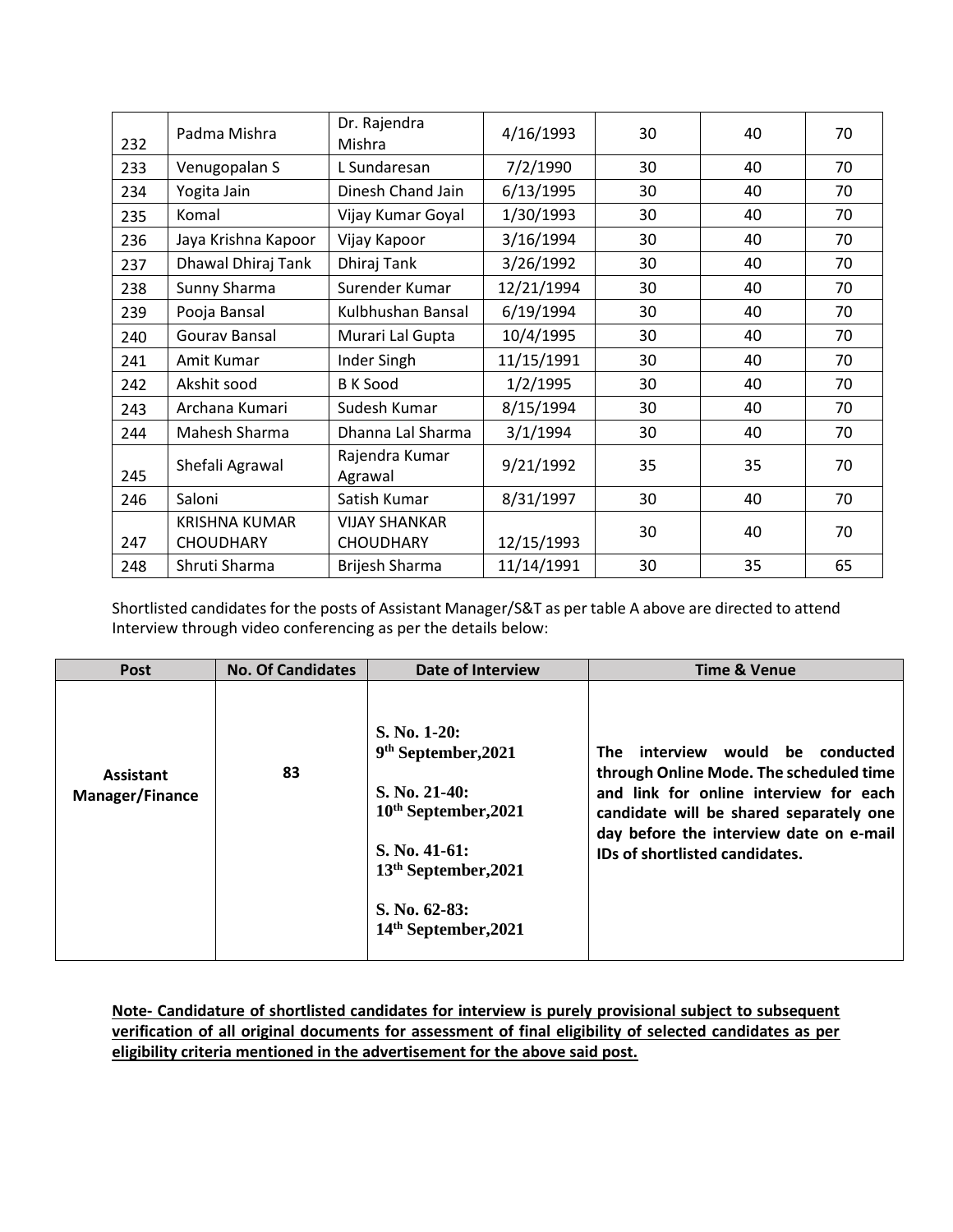| 232 | Padma Mishra                                 | Dr. Rajendra<br>Mishra                   | 4/16/1993  | 30 | 40 | 70 |
|-----|----------------------------------------------|------------------------------------------|------------|----|----|----|
| 233 | Venugopalan S                                | L Sundaresan                             | 7/2/1990   | 30 | 40 | 70 |
| 234 | Yogita Jain                                  | Dinesh Chand Jain                        | 6/13/1995  | 30 | 40 | 70 |
| 235 | Komal                                        | Vijay Kumar Goyal                        | 1/30/1993  | 30 | 40 | 70 |
| 236 | Jaya Krishna Kapoor                          | Vijay Kapoor                             | 3/16/1994  | 30 | 40 | 70 |
| 237 | Dhawal Dhiraj Tank                           | Dhiraj Tank                              | 3/26/1992  | 30 | 40 | 70 |
| 238 | Sunny Sharma                                 | Surender Kumar                           |            | 30 | 40 | 70 |
| 239 | Pooja Bansal                                 | Kulbhushan Bansal                        |            | 30 | 40 | 70 |
| 240 | Gourav Bansal                                | Murari Lal Gupta                         | 10/4/1995  | 30 | 40 | 70 |
| 241 | Amit Kumar                                   | Inder Singh                              | 11/15/1991 | 30 | 40 | 70 |
| 242 | Akshit sood                                  | <b>B</b> K Sood                          | 1/2/1995   | 30 | 40 | 70 |
| 243 | Archana Kumari                               | Sudesh Kumar                             | 8/15/1994  | 30 | 40 | 70 |
| 244 | Mahesh Sharma                                | Dhanna Lal Sharma                        | 3/1/1994   | 30 | 40 | 70 |
| 245 | Rajendra Kumar<br>Shefali Agrawal<br>Agrawal |                                          | 9/21/1992  | 35 | 35 | 70 |
| 246 | Saloni                                       | Satish Kumar                             | 8/31/1997  | 30 | 40 | 70 |
| 247 | <b>KRISHNA KUMAR</b><br><b>CHOUDHARY</b>     | <b>VIJAY SHANKAR</b><br><b>CHOUDHARY</b> | 12/15/1993 | 30 | 40 | 70 |
| 248 | Shruti Sharma                                | <b>Brijesh Sharma</b>                    | 11/14/1991 | 30 | 35 | 65 |

Shortlisted candidates for the posts of Assistant Manager/S&T as per table A above are directed to attend Interview through video conferencing as per the details below:

| <b>Post</b>                                | <b>No. Of Candidates</b> | <b>Date of Interview</b>                                                                                                                                                                      | <b>Time &amp; Venue</b>                                                                                                                                                                                                                             |
|--------------------------------------------|--------------------------|-----------------------------------------------------------------------------------------------------------------------------------------------------------------------------------------------|-----------------------------------------------------------------------------------------------------------------------------------------------------------------------------------------------------------------------------------------------------|
| <b>Assistant</b><br><b>Manager/Finance</b> | 83                       | S. No. 1-20:<br>9 <sup>th</sup> September, 2021<br>$S. No. 21-40:$<br>$10th$ September, 2021<br>S. No. 41-61:<br>13 <sup>th</sup> September, 2021<br>S. No. $62-83$ :<br>14th September, 2021 | interview would be<br>conducted<br>The<br>through Online Mode. The scheduled time<br>and link for online interview for each<br>candidate will be shared separately one<br>day before the interview date on e-mail<br>IDs of shortlisted candidates. |

**Note- Candidature of shortlisted candidates for interview is purely provisional subject to subsequent verification of all original documents for assessment of final eligibility of selected candidates as per eligibility criteria mentioned in the advertisement for the above said post.**